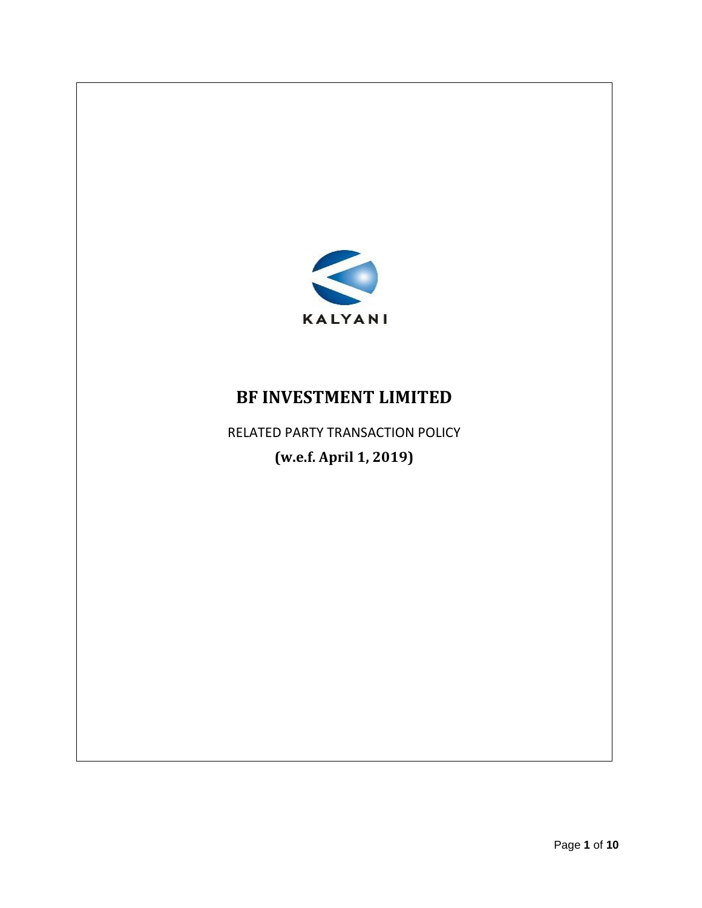

## **BF INVESTMENT LIMITED**

RELATED PARTY TRANSACTION POLICY **(w.e.f. April 1, 2019)**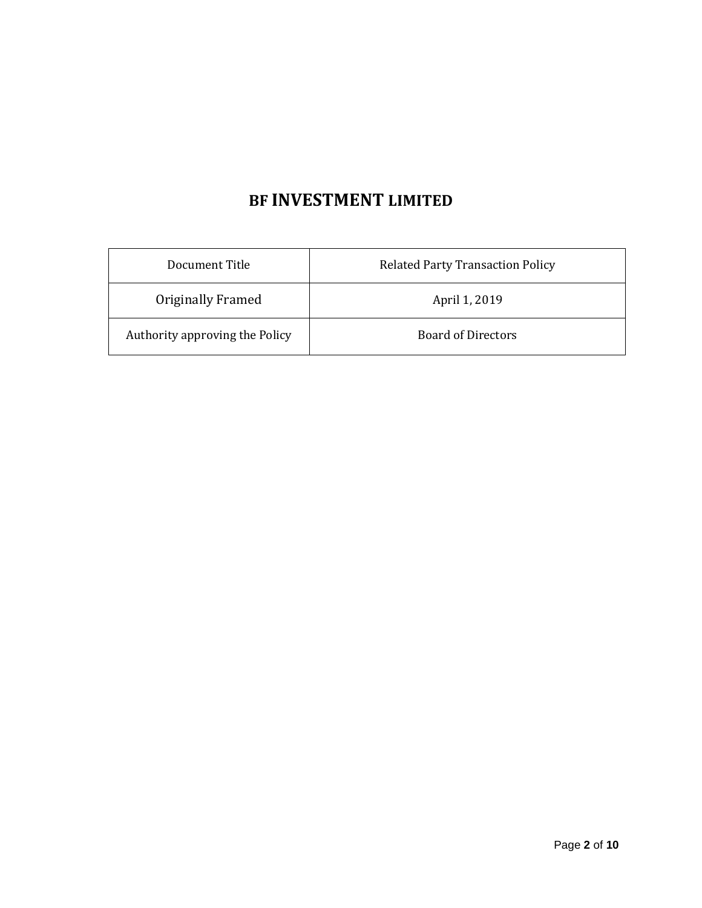# **BF INVESTMENT LIMITED**

| Document Title                                              | <b>Related Party Transaction Policy</b> |  |
|-------------------------------------------------------------|-----------------------------------------|--|
| Originally Framed                                           | April 1, 2019                           |  |
| Authority approving the Policy<br><b>Board of Directors</b> |                                         |  |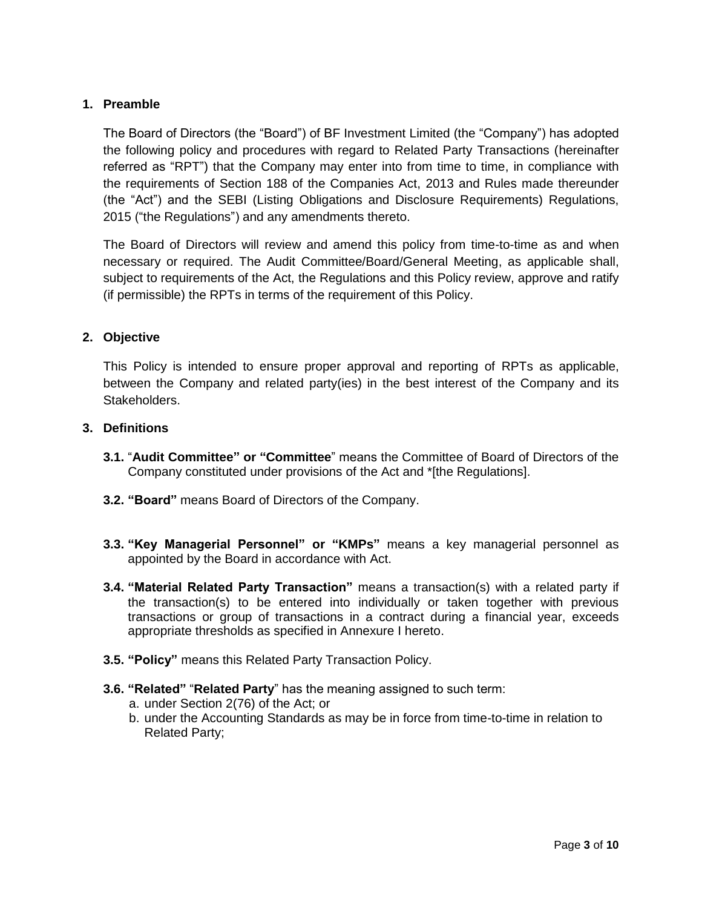## **1. Preamble**

The Board of Directors (the "Board") of BF Investment Limited (the "Company") has adopted the following policy and procedures with regard to Related Party Transactions (hereinafter referred as "RPT") that the Company may enter into from time to time, in compliance with the requirements of Section 188 of the Companies Act, 2013 and Rules made thereunder (the "Act") and the SEBI (Listing Obligations and Disclosure Requirements) Regulations, 2015 ("the Regulations") and any amendments thereto.

The Board of Directors will review and amend this policy from time-to-time as and when necessary or required. The Audit Committee/Board/General Meeting, as applicable shall, subject to requirements of the Act, the Regulations and this Policy review, approve and ratify (if permissible) the RPTs in terms of the requirement of this Policy.

#### **2. Objective**

This Policy is intended to ensure proper approval and reporting of RPTs as applicable, between the Company and related party(ies) in the best interest of the Company and its Stakeholders.

#### **3. Definitions**

- **3.1.** "**Audit Committee" or "Committee**" means the Committee of Board of Directors of the Company constituted under provisions of the Act and \*[the Regulations].
- **3.2. "Board"** means Board of Directors of the Company.
- **3.3. "Key Managerial Personnel" or "KMPs"** means a key managerial personnel as appointed by the Board in accordance with Act.
- **3.4. "Material Related Party Transaction"** means a transaction(s) with a related party if the transaction(s) to be entered into individually or taken together with previous transactions or group of transactions in a contract during a financial year, exceeds appropriate thresholds as specified in Annexure I hereto.
- **3.5. "Policy"** means this Related Party Transaction Policy.
- **3.6. "Related"** "**Related Party**" has the meaning assigned to such term:
	- a. under Section 2(76) of the Act; or
	- b. under the Accounting Standards as may be in force from time-to-time in relation to Related Party;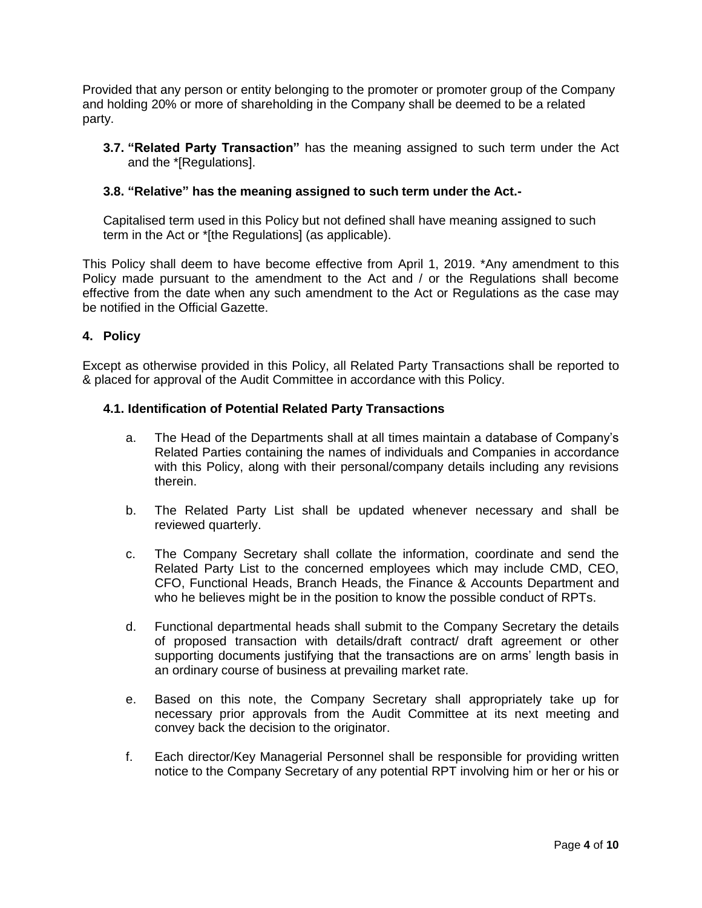Provided that any person or entity belonging to the promoter or promoter group of the Company and holding 20% or more of shareholding in the Company shall be deemed to be a related party.

**3.7. "Related Party Transaction"** has the meaning assigned to such term under the Act and the \*[Regulations].

## **3.8. "Relative" has the meaning assigned to such term under the Act.-**

Capitalised term used in this Policy but not defined shall have meaning assigned to such term in the Act or \*[the Regulations] (as applicable).

This Policy shall deem to have become effective from April 1, 2019. \*Any amendment to this Policy made pursuant to the amendment to the Act and / or the Regulations shall become effective from the date when any such amendment to the Act or Regulations as the case may be notified in the Official Gazette.

#### **4. Policy**

Except as otherwise provided in this Policy, all Related Party Transactions shall be reported to & placed for approval of the Audit Committee in accordance with this Policy.

#### **4.1. Identification of Potential Related Party Transactions**

- a. The Head of the Departments shall at all times maintain a database of Company's Related Parties containing the names of individuals and Companies in accordance with this Policy, along with their personal/company details including any revisions therein.
- b. The Related Party List shall be updated whenever necessary and shall be reviewed quarterly.
- c. The Company Secretary shall collate the information, coordinate and send the Related Party List to the concerned employees which may include CMD, CEO, CFO, Functional Heads, Branch Heads, the Finance & Accounts Department and who he believes might be in the position to know the possible conduct of RPTs.
- d. Functional departmental heads shall submit to the Company Secretary the details of proposed transaction with details/draft contract/ draft agreement or other supporting documents justifying that the transactions are on arms' length basis in an ordinary course of business at prevailing market rate.
- e. Based on this note, the Company Secretary shall appropriately take up for necessary prior approvals from the Audit Committee at its next meeting and convey back the decision to the originator.
- f. Each director/Key Managerial Personnel shall be responsible for providing written notice to the Company Secretary of any potential RPT involving him or her or his or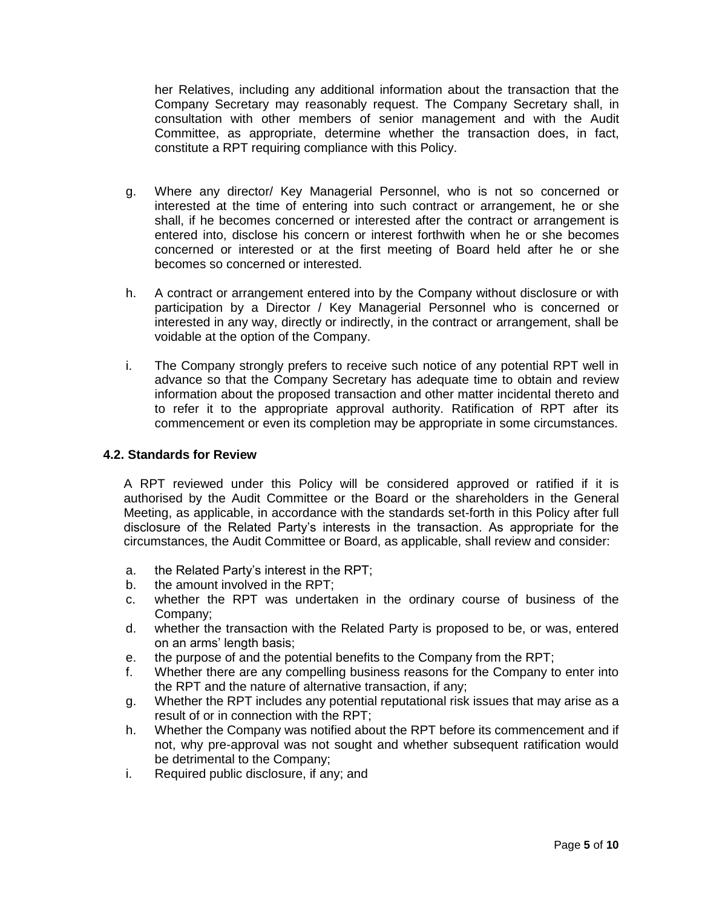her Relatives, including any additional information about the transaction that the Company Secretary may reasonably request. The Company Secretary shall, in consultation with other members of senior management and with the Audit Committee, as appropriate, determine whether the transaction does, in fact, constitute a RPT requiring compliance with this Policy.

- g. Where any director/ Key Managerial Personnel, who is not so concerned or interested at the time of entering into such contract or arrangement, he or she shall, if he becomes concerned or interested after the contract or arrangement is entered into, disclose his concern or interest forthwith when he or she becomes concerned or interested or at the first meeting of Board held after he or she becomes so concerned or interested.
- h. A contract or arrangement entered into by the Company without disclosure or with participation by a Director / Key Managerial Personnel who is concerned or interested in any way, directly or indirectly, in the contract or arrangement, shall be voidable at the option of the Company.
- i. The Company strongly prefers to receive such notice of any potential RPT well in advance so that the Company Secretary has adequate time to obtain and review information about the proposed transaction and other matter incidental thereto and to refer it to the appropriate approval authority. Ratification of RPT after its commencement or even its completion may be appropriate in some circumstances.

#### **4.2. Standards for Review**

A RPT reviewed under this Policy will be considered approved or ratified if it is authorised by the Audit Committee or the Board or the shareholders in the General Meeting, as applicable, in accordance with the standards set-forth in this Policy after full disclosure of the Related Party's interests in the transaction. As appropriate for the circumstances, the Audit Committee or Board, as applicable, shall review and consider:

- a. the Related Party's interest in the RPT;
- b. the amount involved in the RPT;
- c. whether the RPT was undertaken in the ordinary course of business of the Company;
- d. whether the transaction with the Related Party is proposed to be, or was, entered on an arms' length basis;
- e. the purpose of and the potential benefits to the Company from the RPT;
- f. Whether there are any compelling business reasons for the Company to enter into the RPT and the nature of alternative transaction, if any;
- g. Whether the RPT includes any potential reputational risk issues that may arise as a result of or in connection with the RPT;
- h. Whether the Company was notified about the RPT before its commencement and if not, why pre-approval was not sought and whether subsequent ratification would be detrimental to the Company;
- i. Required public disclosure, if any; and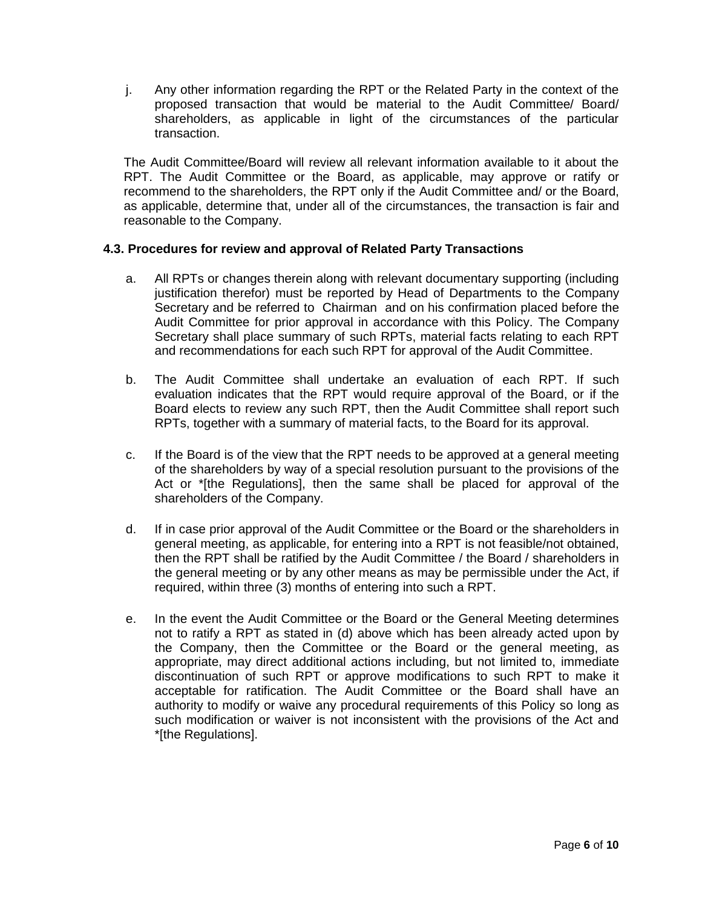j. Any other information regarding the RPT or the Related Party in the context of the proposed transaction that would be material to the Audit Committee/ Board/ shareholders, as applicable in light of the circumstances of the particular transaction.

The Audit Committee/Board will review all relevant information available to it about the RPT. The Audit Committee or the Board, as applicable, may approve or ratify or recommend to the shareholders, the RPT only if the Audit Committee and/ or the Board, as applicable, determine that, under all of the circumstances, the transaction is fair and reasonable to the Company.

## **4.3. Procedures for review and approval of Related Party Transactions**

- a. All RPTs or changes therein along with relevant documentary supporting (including justification therefor) must be reported by Head of Departments to the Company Secretary and be referred to Chairman and on his confirmation placed before the Audit Committee for prior approval in accordance with this Policy. The Company Secretary shall place summary of such RPTs, material facts relating to each RPT and recommendations for each such RPT for approval of the Audit Committee.
- b. The Audit Committee shall undertake an evaluation of each RPT. If such evaluation indicates that the RPT would require approval of the Board, or if the Board elects to review any such RPT, then the Audit Committee shall report such RPTs, together with a summary of material facts, to the Board for its approval.
- c. If the Board is of the view that the RPT needs to be approved at a general meeting of the shareholders by way of a special resolution pursuant to the provisions of the Act or \*[the Regulations], then the same shall be placed for approval of the shareholders of the Company.
- d. If in case prior approval of the Audit Committee or the Board or the shareholders in general meeting, as applicable, for entering into a RPT is not feasible/not obtained, then the RPT shall be ratified by the Audit Committee / the Board / shareholders in the general meeting or by any other means as may be permissible under the Act, if required, within three (3) months of entering into such a RPT.
- e. In the event the Audit Committee or the Board or the General Meeting determines not to ratify a RPT as stated in (d) above which has been already acted upon by the Company, then the Committee or the Board or the general meeting, as appropriate, may direct additional actions including, but not limited to, immediate discontinuation of such RPT or approve modifications to such RPT to make it acceptable for ratification. The Audit Committee or the Board shall have an authority to modify or waive any procedural requirements of this Policy so long as such modification or waiver is not inconsistent with the provisions of the Act and \*[the Regulations].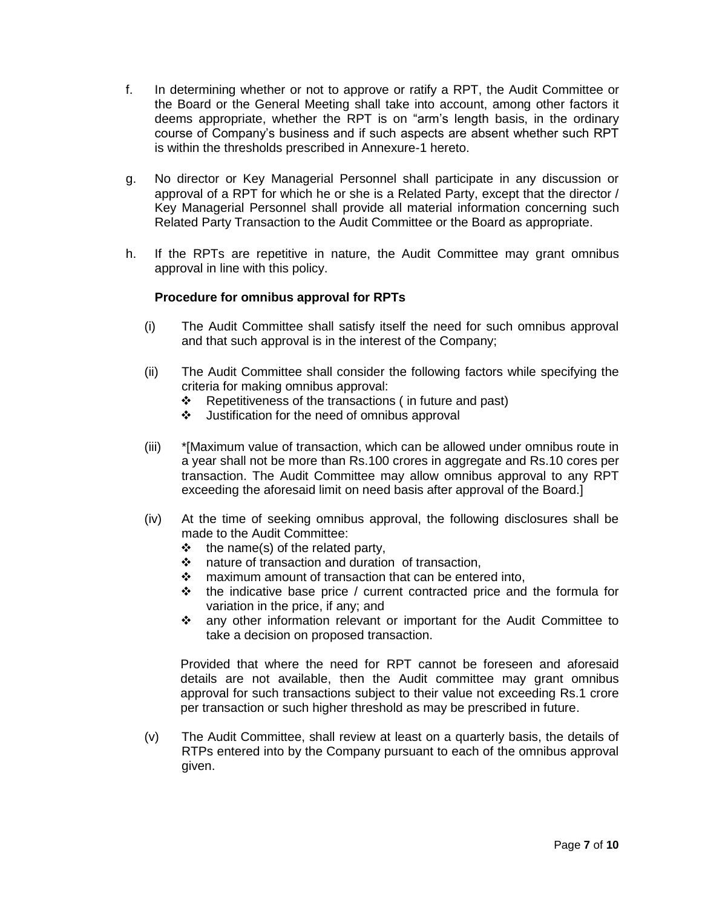- f. In determining whether or not to approve or ratify a RPT, the Audit Committee or the Board or the General Meeting shall take into account, among other factors it deems appropriate, whether the RPT is on "arm's length basis, in the ordinary course of Company's business and if such aspects are absent whether such RPT is within the thresholds prescribed in Annexure-1 hereto.
- g. No director or Key Managerial Personnel shall participate in any discussion or approval of a RPT for which he or she is a Related Party, except that the director / Key Managerial Personnel shall provide all material information concerning such Related Party Transaction to the Audit Committee or the Board as appropriate.
- h. If the RPTs are repetitive in nature, the Audit Committee may grant omnibus approval in line with this policy.

#### **Procedure for omnibus approval for RPTs**

- (i) The Audit Committee shall satisfy itself the need for such omnibus approval and that such approval is in the interest of the Company;
- (ii) The Audit Committee shall consider the following factors while specifying the criteria for making omnibus approval:
	- $\div$  Repetitiveness of the transactions (in future and past)
	- ❖ Justification for the need of omnibus approval
- (iii) \*[Maximum value of transaction, which can be allowed under omnibus route in a year shall not be more than Rs.100 crores in aggregate and Rs.10 cores per transaction. The Audit Committee may allow omnibus approval to any RPT exceeding the aforesaid limit on need basis after approval of the Board.]
- (iv) At the time of seeking omnibus approval, the following disclosures shall be made to the Audit Committee:
	- $\div$  the name(s) of the related party,<br>  $\div$  nature of transaction and duratio
	- nature of transaction and duration of transaction,
	- ❖ maximum amount of transaction that can be entered into,
	- $\cdot \cdot$  the indicative base price / current contracted price and the formula for variation in the price, if any; and
	- any other information relevant or important for the Audit Committee to take a decision on proposed transaction.

Provided that where the need for RPT cannot be foreseen and aforesaid details are not available, then the Audit committee may grant omnibus approval for such transactions subject to their value not exceeding Rs.1 crore per transaction or such higher threshold as may be prescribed in future.

(v) The Audit Committee, shall review at least on a quarterly basis, the details of RTPs entered into by the Company pursuant to each of the omnibus approval given.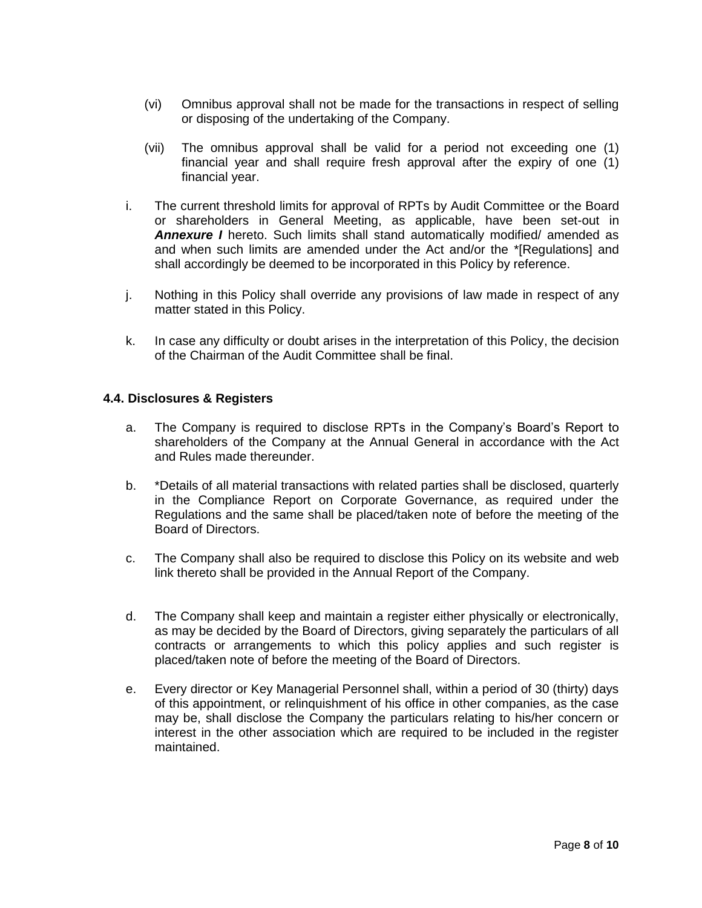- (vi) Omnibus approval shall not be made for the transactions in respect of selling or disposing of the undertaking of the Company.
- (vii) The omnibus approval shall be valid for a period not exceeding one (1) financial year and shall require fresh approval after the expiry of one (1) financial year.
- i. The current threshold limits for approval of RPTs by Audit Committee or the Board or shareholders in General Meeting, as applicable, have been set-out in **Annexure I** hereto. Such limits shall stand automatically modified/ amended as and when such limits are amended under the Act and/or the \*[Regulations] and shall accordingly be deemed to be incorporated in this Policy by reference.
- j. Nothing in this Policy shall override any provisions of law made in respect of any matter stated in this Policy.
- k. In case any difficulty or doubt arises in the interpretation of this Policy, the decision of the Chairman of the Audit Committee shall be final.

#### **4.4. Disclosures & Registers**

- a. The Company is required to disclose RPTs in the Company's Board's Report to shareholders of the Company at the Annual General in accordance with the Act and Rules made thereunder.
- b. \*Details of all material transactions with related parties shall be disclosed, quarterly in the Compliance Report on Corporate Governance, as required under the Regulations and the same shall be placed/taken note of before the meeting of the Board of Directors.
- c. The Company shall also be required to disclose this Policy on its website and web link thereto shall be provided in the Annual Report of the Company.
- d. The Company shall keep and maintain a register either physically or electronically, as may be decided by the Board of Directors, giving separately the particulars of all contracts or arrangements to which this policy applies and such register is placed/taken note of before the meeting of the Board of Directors.
- e. Every director or Key Managerial Personnel shall, within a period of 30 (thirty) days of this appointment, or relinquishment of his office in other companies, as the case may be, shall disclose the Company the particulars relating to his/her concern or interest in the other association which are required to be included in the register maintained.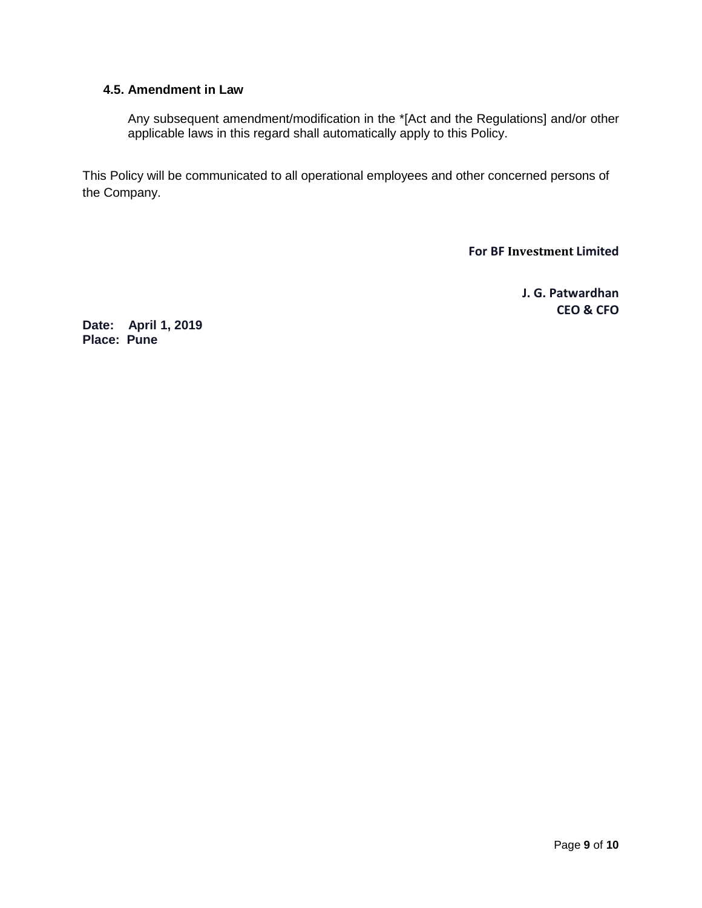## **4.5. Amendment in Law**

Any subsequent amendment/modification in the \*[Act and the Regulations] and/or other applicable laws in this regard shall automatically apply to this Policy.

This Policy will be communicated to all operational employees and other concerned persons of the Company.

**For BF Investment Limited**

**J. G. Patwardhan CEO & CFO** 

**Date: April 1, 2019 Place: Pune**